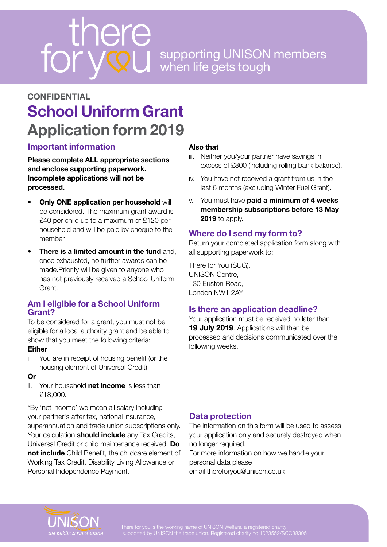# supporting UNISON members when life gets tough

# **School Uniform Grant Application form 2019 CONFIDENTIAL**

# **Important information**

**Please complete ALL appropriate sections and enclose supporting paperwork. Incomplete applications will not be processed.** 

- **Only ONE application per household** will be considered. The maximum grant award is £40 per child up to a maximum of £120 per household and will be paid by cheque to the member.
- **There is a limited amount in the fund** and, once exhausted, no further awards can be made.Priority will be given to anyone who has not previously received a School Uniform Grant.

#### **Am I eligible for a School Uniform Grant?**

To be considered for a grant, you must not be eligible for a local authority grant and be able to show that you meet the following criteria:

#### **Either**

i. You are in receipt of housing benefit (or the housing element of Universal Credit).

#### **Or**

ii. Your household **net income** is less than £18,000.

\*By 'net income' we mean all salary including your partner's after tax, national insurance, superannuation and trade union subscriptions only. Your calculation **should include** any Tax Credits, Universal Credit or child maintenance received. **Do not include** Child Benefit, the childcare element of Working Tax Credit, Disability Living Allowance or Personal Independence Payment.

#### **Also that**

- iii. Neither you/your partner have savings in excess of £800 (including rolling bank balance).
- iv. You have not received a grant from us in the last 6 months (excluding Winter Fuel Grant).
- v. You must have **paid a minimum of 4 weeks membership subscriptions before 13 May 2019** to apply.

# **Where do I send my form to?**

Return your completed application form along with all supporting paperwork to:

There for You (SUG), UNISON Centre, 130 Euston Road, London NW1 2AY

## **Is there an application deadline?**

Your application must be received no later than **19 July 2019**. Applications will then be processed and decisions communicated over the following weeks.

## **Data protection**

The information on this form will be used to assess your application only and securely destroyed when no longer required.

For more information on how we handle your personal data please email thereforyou@unison.co.uk